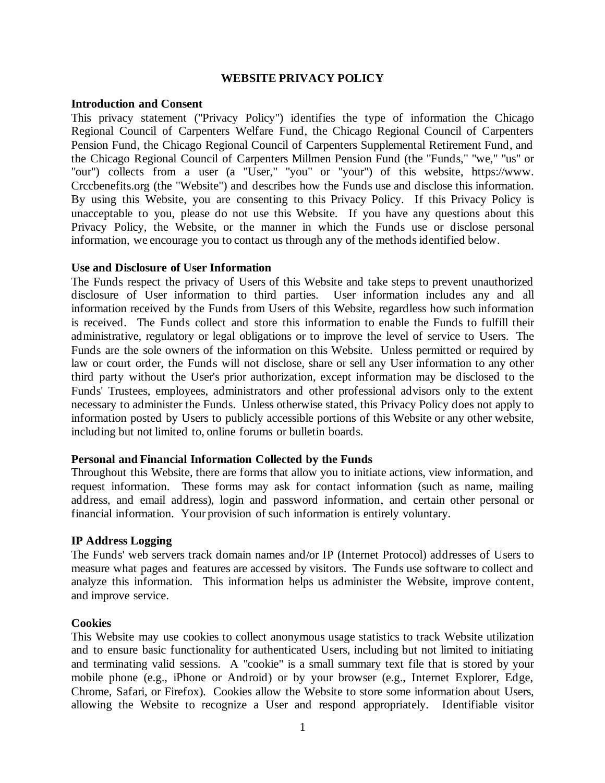#### **WEBSITE PRIVACY POLICY**

#### **Introduction and Consent**

This privacy statement ("Privacy Policy") identifies the type of information the Chicago Regional Council of Carpenters Welfare Fund, the Chicago Regional Council of Carpenters Pension Fund, the Chicago Regional Council of Carpenters Supplemental Retirement Fund, and the Chicago Regional Council of Carpenters Millmen Pension Fund (the "Funds," "we," "us" or "our") collects from a user (a "User," "you" or "your") of this website, https://www. Crccbenefits.org (the "Website") and describes how the Funds use and disclose this information. By using this Website, you are consenting to this Privacy Policy. If this Privacy Policy is unacceptable to you, please do not use this Website. If you have any questions about this Privacy Policy, the Website, or the manner in which the Funds use or disclose personal information, we encourage you to contact us through any of the methods identified below.

#### **Use and Disclosure of User Information**

The Funds respect the privacy of Users of this Website and take steps to prevent unauthorized disclosure of User information to third parties. User information includes any and all information received by the Funds from Users of this Website, regardless how such information is received. The Funds collect and store this information to enable the Funds to fulfill their administrative, regulatory or legal obligations or to improve the level of service to Users. The Funds are the sole owners of the information on this Website. Unless permitted or required by law or court order, the Funds will not disclose, share or sell any User information to any other third party without the User's prior authorization, except information may be disclosed to the Funds' Trustees, employees, administrators and other professional advisors only to the extent necessary to administer the Funds. Unless otherwise stated, this Privacy Policy does not apply to information posted by Users to publicly accessible portions of this Website or any other website, including but not limited to, online forums or bulletin boards.

### **Personal and Financial Information Collected by the Funds**

Throughout this Website, there are forms that allow you to initiate actions, view information, and request information. These forms may ask for contact information (such as name, mailing address, and email address), login and password information, and certain other personal or financial information. Your provision of such information is entirely voluntary.

### **IP Address Logging**

The Funds' web servers track domain names and/or IP (Internet Protocol) addresses of Users to measure what pages and features are accessed by visitors. The Funds use software to collect and analyze this information. This information helps us administer the Website, improve content, and improve service.

#### **Cookies**

This Website may use cookies to collect anonymous usage statistics to track Website utilization and to ensure basic functionality for authenticated Users, including but not limited to initiating and terminating valid sessions. A "cookie" is a small summary text file that is stored by your mobile phone (e.g., iPhone or Android) or by your browser (e.g., Internet Explorer, Edge, Chrome, Safari, or Firefox). Cookies allow the Website to store some information about Users, allowing the Website to recognize a User and respond appropriately. Identifiable visitor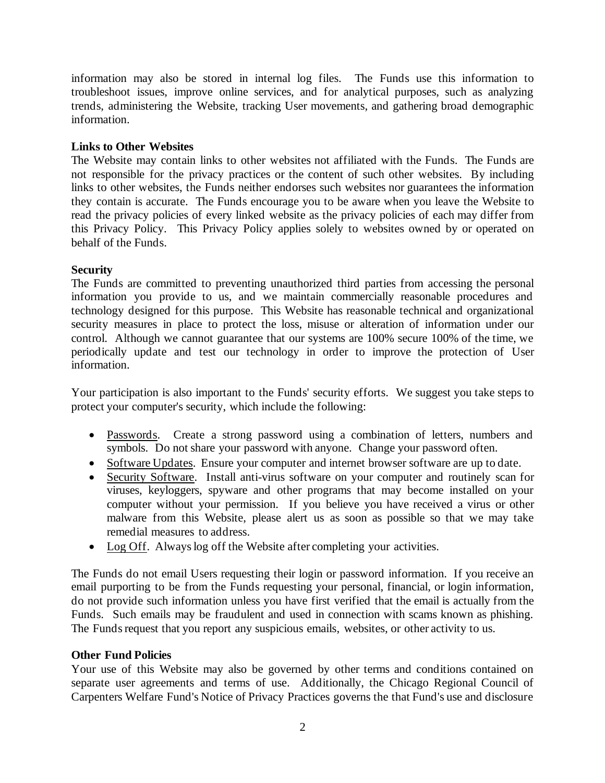information may also be stored in internal log files. The Funds use this information to troubleshoot issues, improve online services, and for analytical purposes, such as analyzing trends, administering the Website, tracking User movements, and gathering broad demographic information.

# **Links to Other Websites**

The Website may contain links to other websites not affiliated with the Funds. The Funds are not responsible for the privacy practices or the content of such other websites. By including links to other websites, the Funds neither endorses such websites nor guarantees the information they contain is accurate. The Funds encourage you to be aware when you leave the Website to read the privacy policies of every linked website as the privacy policies of each may differ from this Privacy Policy. This Privacy Policy applies solely to websites owned by or operated on behalf of the Funds.

## **Security**

The Funds are committed to preventing unauthorized third parties from accessing the personal information you provide to us, and we maintain commercially reasonable procedures and technology designed for this purpose. This Website has reasonable technical and organizational security measures in place to protect the loss, misuse or alteration of information under our control. Although we cannot guarantee that our systems are 100% secure 100% of the time, we periodically update and test our technology in order to improve the protection of User information.

Your participation is also important to the Funds' security efforts. We suggest you take steps to protect your computer's security, which include the following:

- Passwords. Create a strong password using a combination of letters, numbers and symbols. Do not share your password with anyone. Change your password often.
- Software Updates. Ensure your computer and internet browser software are up to date.
- Security Software. Install anti-virus software on your computer and routinely scan for viruses, keyloggers, spyware and other programs that may become installed on your computer without your permission. If you believe you have received a virus or other malware from this Website, please alert us as soon as possible so that we may take remedial measures to address.
- Log Off. Always log off the Website after completing your activities.

The Funds do not email Users requesting their login or password information. If you receive an email purporting to be from the Funds requesting your personal, financial, or login information, do not provide such information unless you have first verified that the email is actually from the Funds. Such emails may be fraudulent and used in connection with scams known as phishing. The Funds request that you report any suspicious emails, websites, or other activity to us.

### **Other Fund Policies**

Your use of this Website may also be governed by other terms and conditions contained on separate user agreements and terms of use. Additionally, the Chicago Regional Council of Carpenters Welfare Fund's Notice of Privacy Practices governs the that Fund's use and disclosure